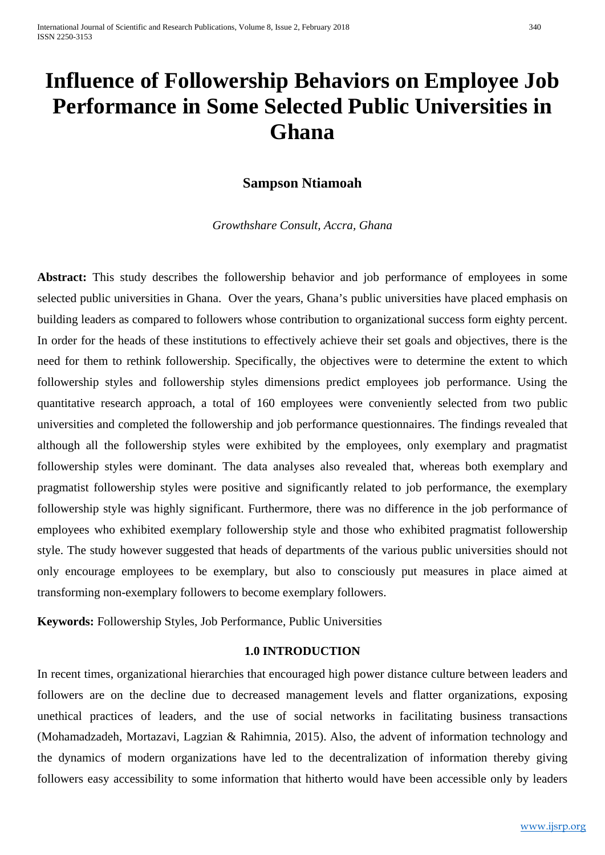# **Influence of Followership Behaviors on Employee Job Performance in Some Selected Public Universities in Ghana**

# **Sampson Ntiamoah**

*Growthshare Consult, Accra, Ghana*

Abstract: This study describes the followership behavior and job performance of employees in some selected public universities in Ghana. Over the years, Ghana's public universities have placed emphasis on building leaders as compared to followers whose contribution to organizational success form eighty percent. In order for the heads of these institutions to effectively achieve their set goals and objectives, there is the need for them to rethink followership. Specifically, the objectives were to determine the extent to which followership styles and followership styles dimensions predict employees job performance. Using the quantitative research approach, a total of 160 employees were conveniently selected from two public universities and completed the followership and job performance questionnaires. The findings revealed that although all the followership styles were exhibited by the employees, only exemplary and pragmatist followership styles were dominant. The data analyses also revealed that, whereas both exemplary and pragmatist followership styles were positive and significantly related to job performance, the exemplary followership style was highly significant. Furthermore, there was no difference in the job performance of employees who exhibited exemplary followership style and those who exhibited pragmatist followership style. The study however suggested that heads of departments of the various public universities should not only encourage employees to be exemplary, but also to consciously put measures in place aimed at transforming non-exemplary followers to become exemplary followers.

**Keywords:** Followership Styles, Job Performance, Public Universities

## **1.0 INTRODUCTION**

In recent times, organizational hierarchies that encouraged high power distance culture between leaders and followers are on the decline due to decreased management levels and flatter organizations, exposing unethical practices of leaders, and the use of social networks in facilitating business transactions (Mohamadzadeh, Mortazavi, Lagzian & Rahimnia, 2015). Also, the advent of information technology and the dynamics of modern organizations have led to the decentralization of information thereby giving followers easy accessibility to some information that hitherto would have been accessible only by leaders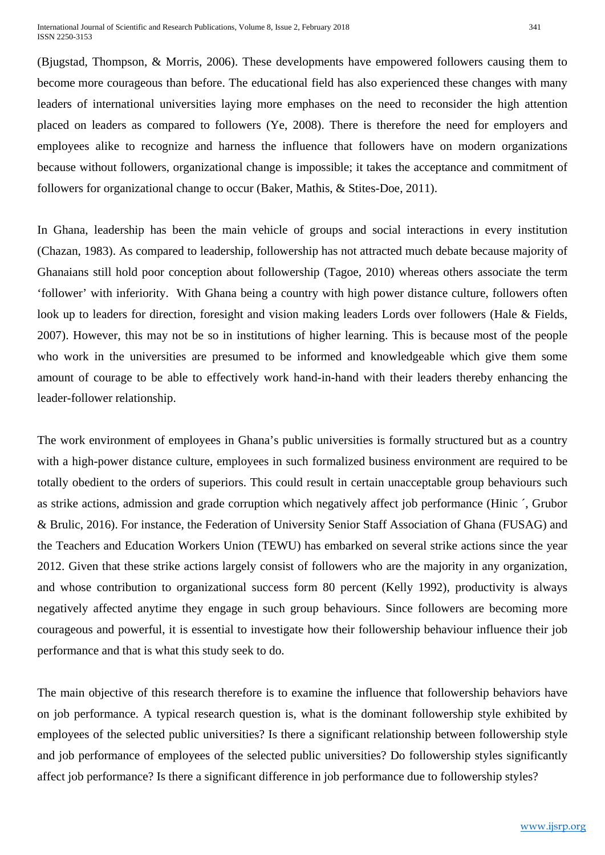(Bjugstad, Thompson, & Morris, 2006). These developments have empowered followers causing them to become more courageous than before. The educational field has also experienced these changes with many leaders of international universities laying more emphases on the need to reconsider the high attention placed on leaders as compared to followers (Ye, 2008). There is therefore the need for employers and employees alike to recognize and harness the influence that followers have on modern organizations because without followers, organizational change is impossible; it takes the acceptance and commitment of followers for organizational change to occur (Baker, Mathis, & Stites-Doe, 2011).

In Ghana, leadership has been the main vehicle of groups and social interactions in every institution (Chazan, 1983). As compared to leadership, followership has not attracted much debate because majority of Ghanaians still hold poor conception about followership (Tagoe, 2010) whereas others associate the term 'follower' with inferiority. With Ghana being a country with high power distance culture, followers often look up to leaders for direction, foresight and vision making leaders Lords over followers (Hale & Fields, 2007). However, this may not be so in institutions of higher learning. This is because most of the people who work in the universities are presumed to be informed and knowledgeable which give them some amount of courage to be able to effectively work hand-in-hand with their leaders thereby enhancing the leader-follower relationship.

The work environment of employees in Ghana's public universities is formally structured but as a country with a high-power distance culture, employees in such formalized business environment are required to be totally obedient to the orders of superiors. This could result in certain unacceptable group behaviours such as strike actions, admission and grade corruption which negatively affect job performance (Hinic ´, Grubor & Brulic, 2016). For instance, the Federation of University Senior Staff Association of Ghana (FUSAG) and the Teachers and Education Workers Union (TEWU) has embarked on several strike actions since the year 2012. Given that these strike actions largely consist of followers who are the majority in any organization, and whose contribution to organizational success form 80 percent (Kelly 1992), productivity is always negatively affected anytime they engage in such group behaviours. Since followers are becoming more courageous and powerful, it is essential to investigate how their followership behaviour influence their job performance and that is what this study seek to do.

The main objective of this research therefore is to examine the influence that followership behaviors have on job performance. A typical research question is, what is the dominant followership style exhibited by employees of the selected public universities? Is there a significant relationship between followership style and job performance of employees of the selected public universities? Do followership styles significantly affect job performance? Is there a significant difference in job performance due to followership styles?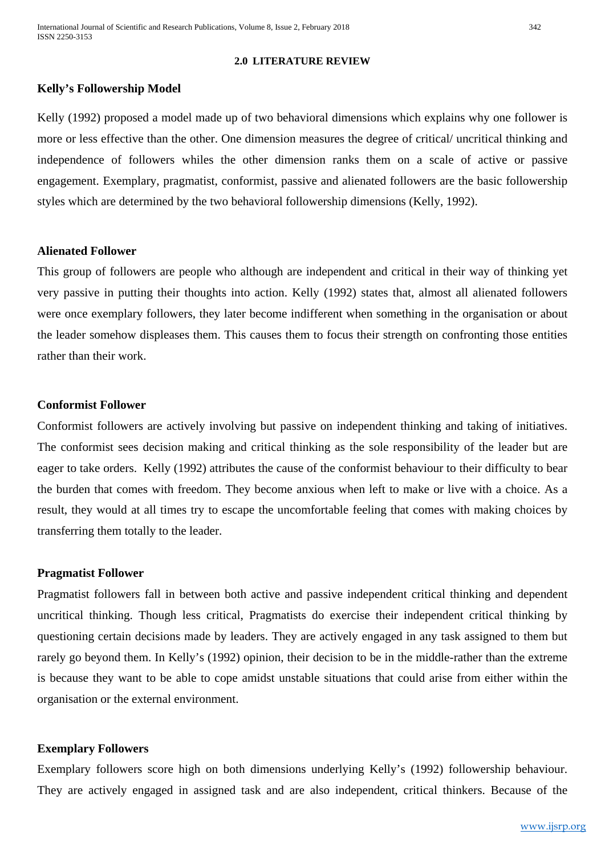#### **2.0 LITERATURE REVIEW**

## **Kelly's Followership Model**

Kelly (1992) proposed a model made up of two behavioral dimensions which explains why one follower is more or less effective than the other. One dimension measures the degree of critical/ uncritical thinking and independence of followers whiles the other dimension ranks them on a scale of active or passive engagement. Exemplary, pragmatist, conformist, passive and alienated followers are the basic followership styles which are determined by the two behavioral followership dimensions (Kelly, 1992).

#### **Alienated Follower**

This group of followers are people who although are independent and critical in their way of thinking yet very passive in putting their thoughts into action. Kelly (1992) states that, almost all alienated followers were once exemplary followers, they later become indifferent when something in the organisation or about the leader somehow displeases them. This causes them to focus their strength on confronting those entities rather than their work.

#### **Conformist Follower**

Conformist followers are actively involving but passive on independent thinking and taking of initiatives. The conformist sees decision making and critical thinking as the sole responsibility of the leader but are eager to take orders. Kelly (1992) attributes the cause of the conformist behaviour to their difficulty to bear the burden that comes with freedom. They become anxious when left to make or live with a choice. As a result, they would at all times try to escape the uncomfortable feeling that comes with making choices by transferring them totally to the leader.

#### **Pragmatist Follower**

Pragmatist followers fall in between both active and passive independent critical thinking and dependent uncritical thinking. Though less critical, Pragmatists do exercise their independent critical thinking by questioning certain decisions made by leaders. They are actively engaged in any task assigned to them but rarely go beyond them. In Kelly's (1992) opinion, their decision to be in the middle-rather than the extreme is because they want to be able to cope amidst unstable situations that could arise from either within the organisation or the external environment.

## **Exemplary Followers**

Exemplary followers score high on both dimensions underlying Kelly's (1992) followership behaviour. They are actively engaged in assigned task and are also independent, critical thinkers. Because of the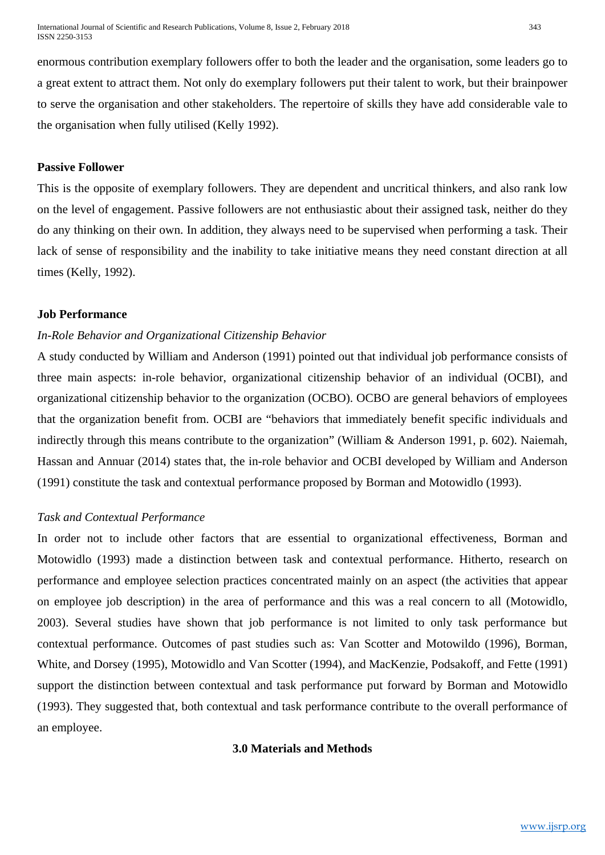enormous contribution exemplary followers offer to both the leader and the organisation, some leaders go to a great extent to attract them. Not only do exemplary followers put their talent to work, but their brainpower to serve the organisation and other stakeholders. The repertoire of skills they have add considerable vale to the organisation when fully utilised (Kelly 1992).

#### **Passive Follower**

This is the opposite of exemplary followers. They are dependent and uncritical thinkers, and also rank low on the level of engagement. Passive followers are not enthusiastic about their assigned task, neither do they do any thinking on their own. In addition, they always need to be supervised when performing a task. Their lack of sense of responsibility and the inability to take initiative means they need constant direction at all times (Kelly, 1992).

## **Job Performance**

## *In-Role Behavior and Organizational Citizenship Behavior*

A study conducted by William and Anderson (1991) pointed out that individual job performance consists of three main aspects: in-role behavior, organizational citizenship behavior of an individual (OCBI), and organizational citizenship behavior to the organization (OCBO). OCBO are general behaviors of employees that the organization benefit from. OCBI are "behaviors that immediately benefit specific individuals and indirectly through this means contribute to the organization" (William & Anderson 1991, p. 602). Naiemah, Hassan and Annuar (2014) states that, the in-role behavior and OCBI developed by William and Anderson (1991) constitute the task and contextual performance proposed by Borman and Motowidlo (1993).

## *Task and Contextual Performance*

In order not to include other factors that are essential to organizational effectiveness, Borman and Motowidlo (1993) made a distinction between task and contextual performance. Hitherto, research on performance and employee selection practices concentrated mainly on an aspect (the activities that appear on employee job description) in the area of performance and this was a real concern to all (Motowidlo, 2003). Several studies have shown that job performance is not limited to only task performance but contextual performance. Outcomes of past studies such as: Van Scotter and Motowildo (1996), Borman, White, and Dorsey (1995), Motowidlo and Van Scotter (1994), and MacKenzie, Podsakoff, and Fette (1991) support the distinction between contextual and task performance put forward by Borman and Motowidlo (1993). They suggested that, both contextual and task performance contribute to the overall performance of an employee.

## **3.0 Materials and Methods**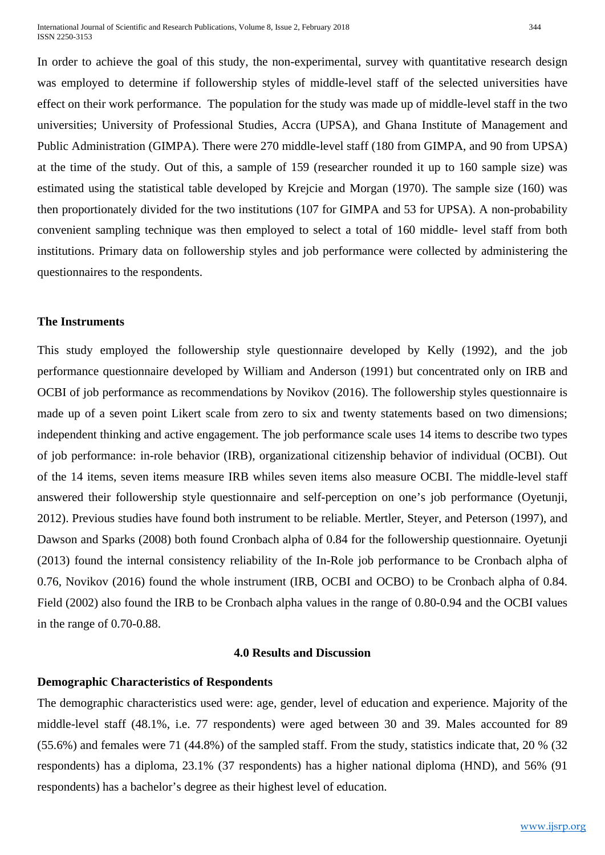International Journal of Scientific and Research Publications, Volume 8, Issue 2, February 2018 344 ISSN 2250-3153

In order to achieve the goal of this study, the non-experimental, survey with quantitative research design was employed to determine if followership styles of middle-level staff of the selected universities have effect on their work performance. The population for the study was made up of middle-level staff in the two universities; University of Professional Studies, Accra (UPSA), and Ghana Institute of Management and Public Administration (GIMPA). There were 270 middle-level staff (180 from GIMPA, and 90 from UPSA) at the time of the study. Out of this, a sample of 159 (researcher rounded it up to 160 sample size) was estimated using the statistical table developed by Krejcie and Morgan (1970). The sample size (160) was then proportionately divided for the two institutions (107 for GIMPA and 53 for UPSA). A non-probability convenient sampling technique was then employed to select a total of 160 middle- level staff from both institutions. Primary data on followership styles and job performance were collected by administering the questionnaires to the respondents.

#### **The Instruments**

This study employed the followership style questionnaire developed by Kelly (1992), and the job performance questionnaire developed by William and Anderson (1991) but concentrated only on IRB and OCBI of job performance as recommendations by Novikov (2016). The followership styles questionnaire is made up of a seven point Likert scale from zero to six and twenty statements based on two dimensions; independent thinking and active engagement. The job performance scale uses 14 items to describe two types of job performance: in-role behavior (IRB), organizational citizenship behavior of individual (OCBI). Out of the 14 items, seven items measure IRB whiles seven items also measure OCBI. The middle-level staff answered their followership style questionnaire and self-perception on one's job performance (Oyetunji, 2012). Previous studies have found both instrument to be reliable. Mertler, Steyer, and Peterson (1997), and Dawson and Sparks (2008) both found Cronbach alpha of 0.84 for the followership questionnaire. Oyetunji (2013) found the internal consistency reliability of the In-Role job performance to be Cronbach alpha of 0.76, Novikov (2016) found the whole instrument (IRB, OCBI and OCBO) to be Cronbach alpha of 0.84. Field (2002) also found the IRB to be Cronbach alpha values in the range of 0.80-0.94 and the OCBI values in the range of 0.70-0.88.

#### **4.0 Results and Discussion**

## **Demographic Characteristics of Respondents**

The demographic characteristics used were: age, gender, level of education and experience. Majority of the middle-level staff (48.1%, i.e. 77 respondents) were aged between 30 and 39. Males accounted for 89 (55.6%) and females were 71 (44.8%) of the sampled staff. From the study, statistics indicate that, 20 % (32 respondents) has a diploma, 23.1% (37 respondents) has a higher national diploma (HND), and 56% (91 respondents) has a bachelor's degree as their highest level of education.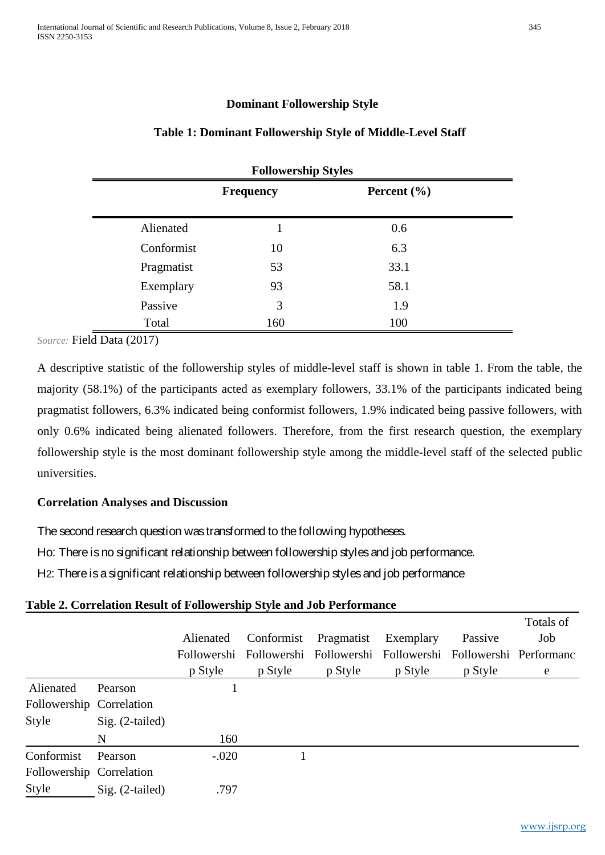## **Dominant Followership Style**

## **Table 1: Dominant Followership Style of Middle-Level Staff**

| <b>Followership Styles</b> |                  |                 |  |  |  |  |  |  |
|----------------------------|------------------|-----------------|--|--|--|--|--|--|
|                            | <b>Frequency</b> | Percent $(\% )$ |  |  |  |  |  |  |
| Alienated                  |                  | 0.6             |  |  |  |  |  |  |
| Conformist                 | 10               | 6.3             |  |  |  |  |  |  |
| Pragmatist                 | 53               | 33.1            |  |  |  |  |  |  |
| Exemplary                  | 93               | 58.1            |  |  |  |  |  |  |
| Passive                    | 3                | 1.9             |  |  |  |  |  |  |
| Total                      | 160              | 100             |  |  |  |  |  |  |

*Source:* Field Data (2017)

A descriptive statistic of the followership styles of middle-level staff is shown in table 1. From the table, the majority (58.1%) of the participants acted as exemplary followers, 33.1% of the participants indicated being pragmatist followers, 6.3% indicated being conformist followers, 1.9% indicated being passive followers, with only 0.6% indicated being alienated followers. Therefore, from the first research question, the exemplary followership style is the most dominant followership style among the middle-level staff of the selected public universities.

## **Correlation Analyses and Discussion**

The second research question was transformed to the following hypotheses.

Ho: There is no significant relationship between followership styles and job performance.

H2: There is a significant relationship between followership styles and job performance

## **Table 2. Correlation Result of Followership Style and Job Performance**

|                          |                   | Alienated | Conformist | Pragmatist | Exemplary<br>Followershi Followershi Followershi Followershi Followershi Performanc | Passive | Totals of<br>Job |
|--------------------------|-------------------|-----------|------------|------------|-------------------------------------------------------------------------------------|---------|------------------|
|                          |                   | p Style   | p Style    | p Style    | p Style                                                                             | p Style | e                |
| Alienated                | Pearson           |           |            |            |                                                                                     |         |                  |
| Followership Correlation |                   |           |            |            |                                                                                     |         |                  |
| <b>Style</b>             | $Sig. (2-tailed)$ |           |            |            |                                                                                     |         |                  |
|                          | N                 | 160       |            |            |                                                                                     |         |                  |
| Conformist               | Pearson           | $-.020$   |            |            |                                                                                     |         |                  |
| Followership Correlation |                   |           |            |            |                                                                                     |         |                  |
| <b>Style</b>             | $Sig. (2-tailed)$ | .797      |            |            |                                                                                     |         |                  |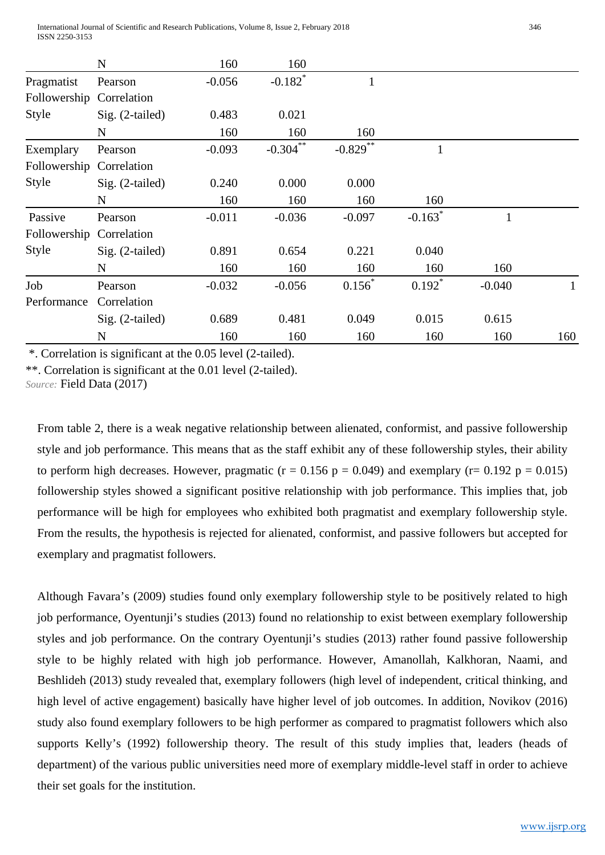|                          | N               | 160      | 160                   |             |                       |              |     |
|--------------------------|-----------------|----------|-----------------------|-------------|-----------------------|--------------|-----|
| Pragmatist               | Pearson         | $-0.056$ | $-0.182$ <sup>*</sup> |             |                       |              |     |
| Followership Correlation |                 |          |                       |             |                       |              |     |
| Style                    | Sig. (2-tailed) | 0.483    | 0.021                 |             |                       |              |     |
|                          | N               | 160      | 160                   | 160         |                       |              |     |
| Exemplary                | Pearson         | $-0.093$ | $-0.304$ **           | $-0.829$ ** | $\mathbf{1}$          |              |     |
| Followership             | Correlation     |          |                       |             |                       |              |     |
| <b>Style</b>             | Sig. (2-tailed) | 0.240    | 0.000                 | 0.000       |                       |              |     |
|                          | $\mathbf N$     | 160      | 160                   | 160         | 160                   |              |     |
| Passive                  | Pearson         | $-0.011$ | $-0.036$              | $-0.097$    | $-0.163$ <sup>*</sup> | $\mathbf{1}$ |     |
| Followership             | Correlation     |          |                       |             |                       |              |     |
| <b>Style</b>             | Sig. (2-tailed) | 0.891    | 0.654                 | 0.221       | 0.040                 |              |     |
|                          | N               | 160      | 160                   | 160         | 160                   | 160          |     |
| Job                      | Pearson         | $-0.032$ | $-0.056$              | $0.156*$    | $0.192*$              | $-0.040$     |     |
| Performance              | Correlation     |          |                       |             |                       |              |     |
|                          | Sig. (2-tailed) | 0.689    | 0.481                 | 0.049       | 0.015                 | 0.615        |     |
|                          | N               | 160      | 160                   | 160         | 160                   | 160          | 160 |

\*. Correlation is significant at the 0.05 level (2-tailed).

\*\*. Correlation is significant at the 0.01 level (2-tailed).

*Source:* Field Data (2017)

From table 2, there is a weak negative relationship between alienated, conformist, and passive followership style and job performance. This means that as the staff exhibit any of these followership styles, their ability to perform high decreases. However, pragmatic ( $r = 0.156$  p = 0.049) and exemplary ( $r = 0.192$  p = 0.015) followership styles showed a significant positive relationship with job performance. This implies that, job performance will be high for employees who exhibited both pragmatist and exemplary followership style. From the results, the hypothesis is rejected for alienated, conformist, and passive followers but accepted for exemplary and pragmatist followers.

Although Favara's (2009) studies found only exemplary followership style to be positively related to high job performance, Oyentunji's studies (2013) found no relationship to exist between exemplary followership styles and job performance. On the contrary Oyentunji's studies (2013) rather found passive followership style to be highly related with high job performance. However, Amanollah, Kalkhoran, Naami, and Beshlideh (2013) study revealed that, exemplary followers (high level of independent, critical thinking, and high level of active engagement) basically have higher level of job outcomes. In addition, Novikov (2016) study also found exemplary followers to be high performer as compared to pragmatist followers which also supports Kelly's (1992) followership theory. The result of this study implies that, leaders (heads of department) of the various public universities need more of exemplary middle-level staff in order to achieve their set goals for the institution.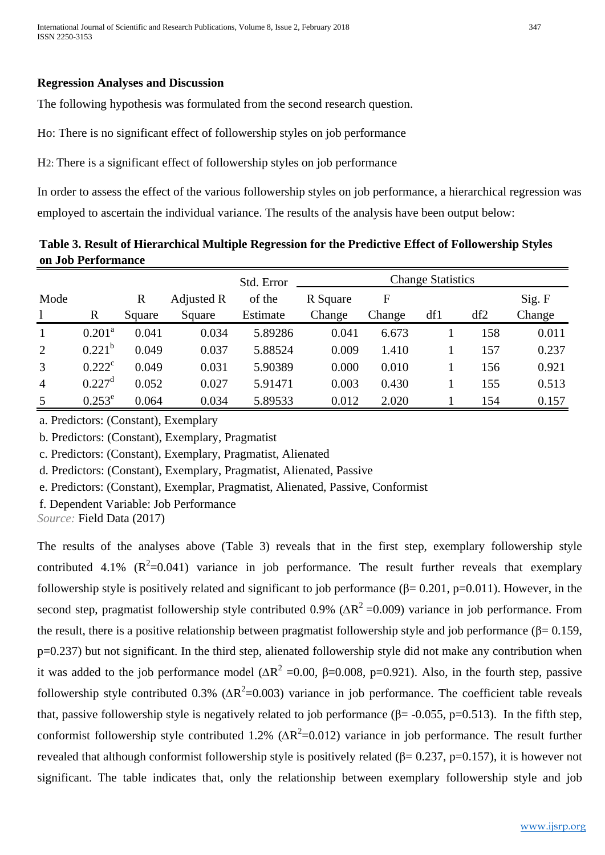### **Regression Analyses and Discussion**

The following hypothesis was formulated from the second research question.

Ho: There is no significant effect of followership styles on job performance

H2: There is a significant effect of followership styles on job performance

In order to assess the effect of the various followership styles on job performance, a hierarchical regression was employed to ascertain the individual variance. The results of the analysis have been output below:

**Table 3. Result of Hierarchical Multiple Regression for the Predictive Effect of Followership Styles on Job Performance**

|                |                      |             |            | Std. Error | <b>Change Statistics</b> |        |     |     |        |
|----------------|----------------------|-------------|------------|------------|--------------------------|--------|-----|-----|--------|
| Mode           |                      | $\mathbf R$ | Adjusted R | of the     | R Square                 | F      |     |     | Sig. F |
|                | R                    | Square      | Square     | Estimate   | Change                   | Change | df1 | df2 | Change |
| $\mathbf{1}$   | $0.201^{\rm a}$      | 0.041       | 0.034      | 5.89286    | 0.041                    | 6.673  |     | 158 | 0.011  |
| 2              | $0.221^{b}$          | 0.049       | 0.037      | 5.88524    | 0.009                    | 1.410  |     | 157 | 0.237  |
| 3              | $0.222^{\circ}$      | 0.049       | 0.031      | 5.90389    | 0.000                    | 0.010  |     | 156 | 0.921  |
| $\overline{4}$ | $0.227$ <sup>d</sup> | 0.052       | 0.027      | 5.91471    | 0.003                    | 0.430  |     | 155 | 0.513  |
| 5              | $0.253^e$            | 0.064       | 0.034      | 5.89533    | 0.012                    | 2.020  |     | 154 | 0.157  |

a. Predictors: (Constant), Exemplary

b. Predictors: (Constant), Exemplary, Pragmatist

c. Predictors: (Constant), Exemplary, Pragmatist, Alienated

d. Predictors: (Constant), Exemplary, Pragmatist, Alienated, Passive

e. Predictors: (Constant), Exemplar, Pragmatist, Alienated, Passive, Conformist

f. Dependent Variable: Job Performance

*Source:* Field Data (2017)

The results of the analyses above (Table 3) reveals that in the first step, exemplary followership style contributed 4.1%  $(R^2=0.041)$  variance in job performance. The result further reveals that exemplary followership style is positively related and significant to job performance  $(\beta = 0.201, p=0.011)$ . However, in the second step, pragmatist followership style contributed 0.9% ( $\Delta R^2$  =0.009) variance in job performance. From the result, there is a positive relationship between pragmatist followership style and job performance ( $\beta$ = 0.159,  $p=0.237$ ) but not significant. In the third step, alienated followership style did not make any contribution when it was added to the job performance model  $(\Delta R^2 = 0.00, \beta = 0.008, \beta = 0.921)$ . Also, in the fourth step, passive followership style contributed  $0.3\%$  ( $\Delta R^2$ =0.003) variance in job performance. The coefficient table reveals that, passive followership style is negatively related to job performance ( $\beta$ = -0.055, p=0.513). In the fifth step, conformist followership style contributed 1.2%  $(\Delta R^2 = 0.012)$  variance in job performance. The result further revealed that although conformist followership style is positively related (β=  $0.237$ , p=0.157), it is however not significant. The table indicates that, only the relationship between exemplary followership style and job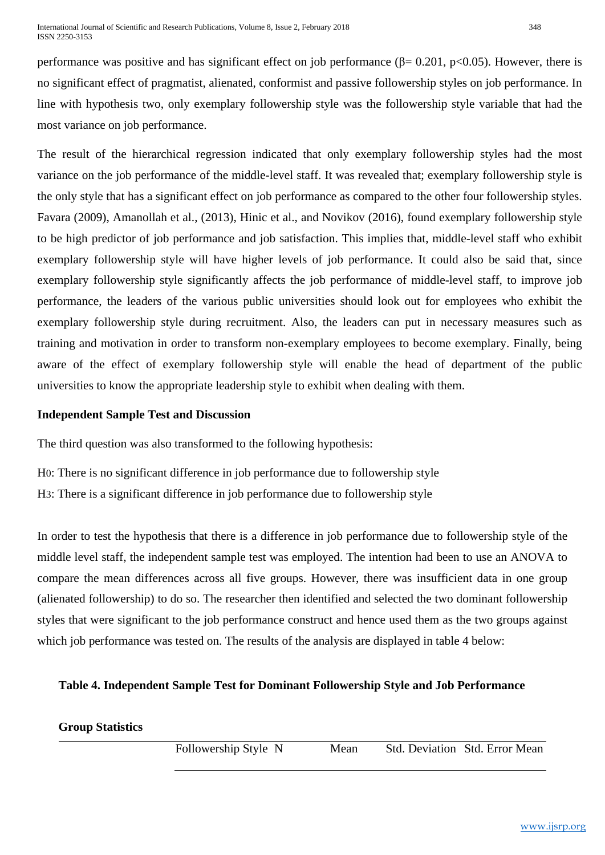performance was positive and has significant effect on job performance ( $\beta$ = 0.201, p<0.05). However, there is no significant effect of pragmatist, alienated, conformist and passive followership styles on job performance. In line with hypothesis two, only exemplary followership style was the followership style variable that had the most variance on job performance.

The result of the hierarchical regression indicated that only exemplary followership styles had the most variance on the job performance of the middle-level staff. It was revealed that; exemplary followership style is the only style that has a significant effect on job performance as compared to the other four followership styles. Favara (2009), Amanollah et al., (2013), Hinic et al., and Novikov (2016), found exemplary followership style to be high predictor of job performance and job satisfaction. This implies that, middle-level staff who exhibit exemplary followership style will have higher levels of job performance. It could also be said that, since exemplary followership style significantly affects the job performance of middle-level staff, to improve job performance, the leaders of the various public universities should look out for employees who exhibit the exemplary followership style during recruitment. Also, the leaders can put in necessary measures such as training and motivation in order to transform non-exemplary employees to become exemplary. Finally, being aware of the effect of exemplary followership style will enable the head of department of the public universities to know the appropriate leadership style to exhibit when dealing with them.

## **Independent Sample Test and Discussion**

The third question was also transformed to the following hypothesis:

H0: There is no significant difference in job performance due to followership style H3: There is a significant difference in job performance due to followership style

In order to test the hypothesis that there is a difference in job performance due to followership style of the middle level staff, the independent sample test was employed. The intention had been to use an ANOVA to compare the mean differences across all five groups. However, there was insufficient data in one group (alienated followership) to do so. The researcher then identified and selected the two dominant followership styles that were significant to the job performance construct and hence used them as the two groups against which job performance was tested on. The results of the analysis are displayed in table 4 below:

## **Table 4. Independent Sample Test for Dominant Followership Style and Job Performance**

## **Group Statistics**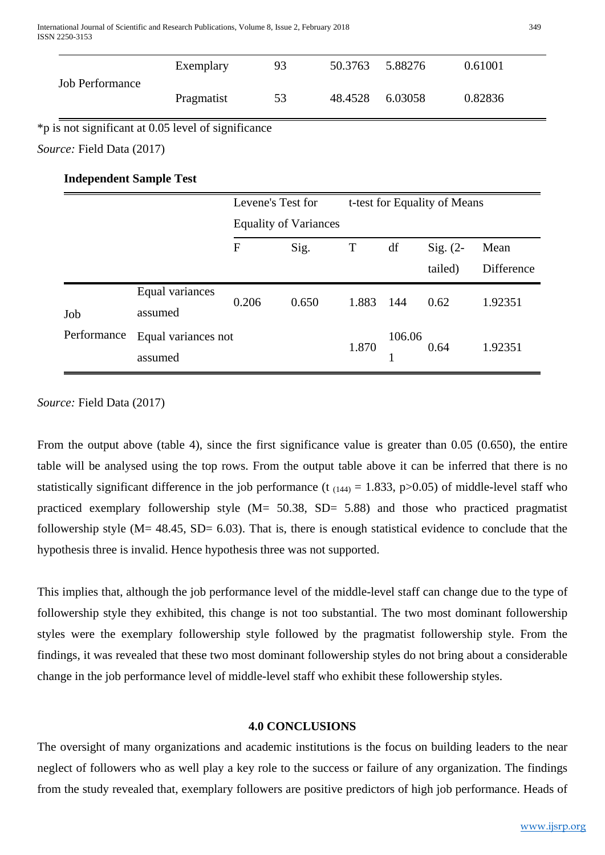|                                | Exemplary                                           |                                                   | 93                           | 50.3763 | 5.88276 |            | 0.61001    |  |
|--------------------------------|-----------------------------------------------------|---------------------------------------------------|------------------------------|---------|---------|------------|------------|--|
| <b>Job Performance</b>         | Pragmatist                                          |                                                   | 53                           | 48.4528 | 6.03058 |            | 0.82836    |  |
|                                | *p is not significant at 0.05 level of significance |                                                   |                              |         |         |            |            |  |
| Source: Field Data (2017)      |                                                     |                                                   |                              |         |         |            |            |  |
| <b>Independent Sample Test</b> |                                                     |                                                   |                              |         |         |            |            |  |
|                                |                                                     | Levene's Test for<br>t-test for Equality of Means |                              |         |         |            |            |  |
|                                |                                                     |                                                   | <b>Equality of Variances</b> |         |         |            |            |  |
|                                |                                                     | $\mathbf{F}$                                      | Sig.                         | T       | df      | Sig. $(2-$ | Mean       |  |
|                                |                                                     |                                                   |                              |         |         | tailed)    | Difference |  |
|                                | Equal variances                                     | 0.206                                             | 0.650                        | 1.883   | 144     | 0.62       | 1.92351    |  |
| Job                            | assumed                                             |                                                   |                              |         |         |            |            |  |
| Performance                    | Equal variances not                                 |                                                   |                              | 1.870   | 106.06  |            |            |  |
|                                | assumed                                             |                                                   |                              |         |         | 0.64       | 1.92351    |  |

*Source:* Field Data (2017)

From the output above (table 4), since the first significance value is greater than 0.05 (0.650), the entire table will be analysed using the top rows. From the output table above it can be inferred that there is no statistically significant difference in the job performance (t<sub>(144)</sub> = 1.833, p>0.05) of middle-level staff who practiced exemplary followership style (M= 50.38, SD= 5.88) and those who practiced pragmatist followership style ( $M = 48.45$ ,  $SD = 6.03$ ). That is, there is enough statistical evidence to conclude that the hypothesis three is invalid. Hence hypothesis three was not supported.

This implies that, although the job performance level of the middle-level staff can change due to the type of followership style they exhibited, this change is not too substantial. The two most dominant followership styles were the exemplary followership style followed by the pragmatist followership style. From the findings, it was revealed that these two most dominant followership styles do not bring about a considerable change in the job performance level of middle-level staff who exhibit these followership styles.

## **4.0 CONCLUSIONS**

The oversight of many organizations and academic institutions is the focus on building leaders to the near neglect of followers who as well play a key role to the success or failure of any organization. The findings from the study revealed that, exemplary followers are positive predictors of high job performance. Heads of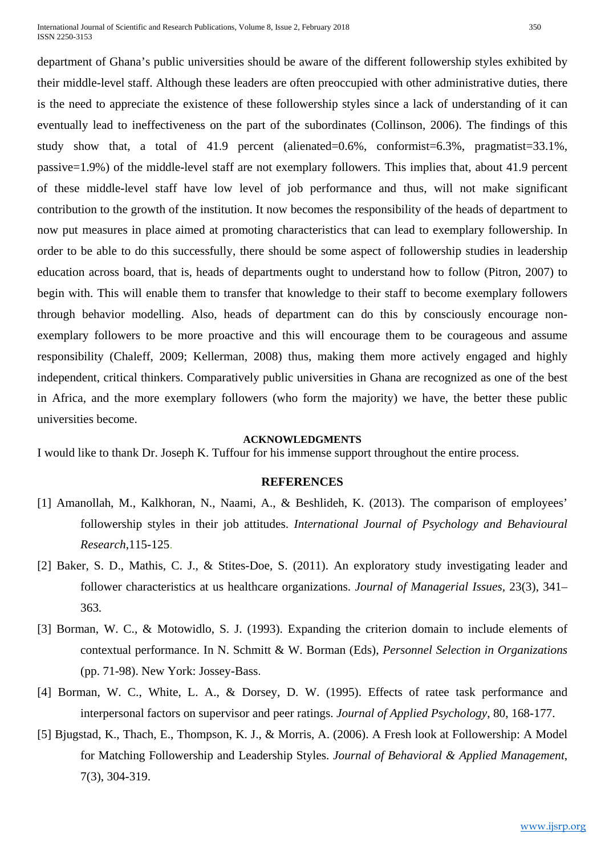International Journal of Scientific and Research Publications, Volume 8, Issue 2, February 2018 350 ISSN 2250-3153

department of Ghana's public universities should be aware of the different followership styles exhibited by their middle-level staff. Although these leaders are often preoccupied with other administrative duties, there is the need to appreciate the existence of these followership styles since a lack of understanding of it can eventually lead to ineffectiveness on the part of the subordinates (Collinson, 2006). The findings of this study show that, a total of 41.9 percent (alienated=0.6%, conformist=6.3%, pragmatist=33.1%, passive=1.9%) of the middle-level staff are not exemplary followers. This implies that, about 41.9 percent of these middle-level staff have low level of job performance and thus, will not make significant contribution to the growth of the institution. It now becomes the responsibility of the heads of department to now put measures in place aimed at promoting characteristics that can lead to exemplary followership. In order to be able to do this successfully, there should be some aspect of followership studies in leadership education across board, that is, heads of departments ought to understand how to follow (Pitron, 2007) to begin with. This will enable them to transfer that knowledge to their staff to become exemplary followers through behavior modelling. Also, heads of department can do this by consciously encourage nonexemplary followers to be more proactive and this will encourage them to be courageous and assume responsibility (Chaleff, 2009; Kellerman, 2008) thus, making them more actively engaged and highly independent, critical thinkers. Comparatively public universities in Ghana are recognized as one of the best in Africa, and the more exemplary followers (who form the majority) we have, the better these public universities become.

#### **ACKNOWLEDGMENTS**

I would like to thank Dr. Joseph K. Tuffour for his immense support throughout the entire process.

#### **REFERENCES**

- [1] Amanollah, M., Kalkhoran, N., Naami, A., & Beshlideh, K. (2013). The comparison of employees' followership styles in their job attitudes. *International Journal of Psychology and Behavioural Research*,115-125.
- [2] Baker, S. D., Mathis, C. J., & Stites-Doe, S. (2011). An exploratory study investigating leader and follower characteristics at us healthcare organizations. *Journal of Managerial Issues,* 23(3), 341– 363*.*
- [3] Borman, W. C., & Motowidlo, S. J. (1993). Expanding the criterion domain to include elements of contextual performance. In N. Schmitt & W. Borman (Eds), *Personnel Selection in Organizations*  (pp. 71-98). New York: Jossey-Bass.
- [4] Borman, W. C., White, L. A., & Dorsey, D. W. (1995). Effects of ratee task performance and interpersonal factors on supervisor and peer ratings. *Journal of Applied Psychology*, 80, 168-177.
- [5] Bjugstad, K., Thach, E., Thompson, K. J., & Morris, A. (2006). A Fresh look at Followership: A Model for Matching Followership and Leadership Styles. *Journal of Behavioral & Applied Management*, 7(3), 304-319.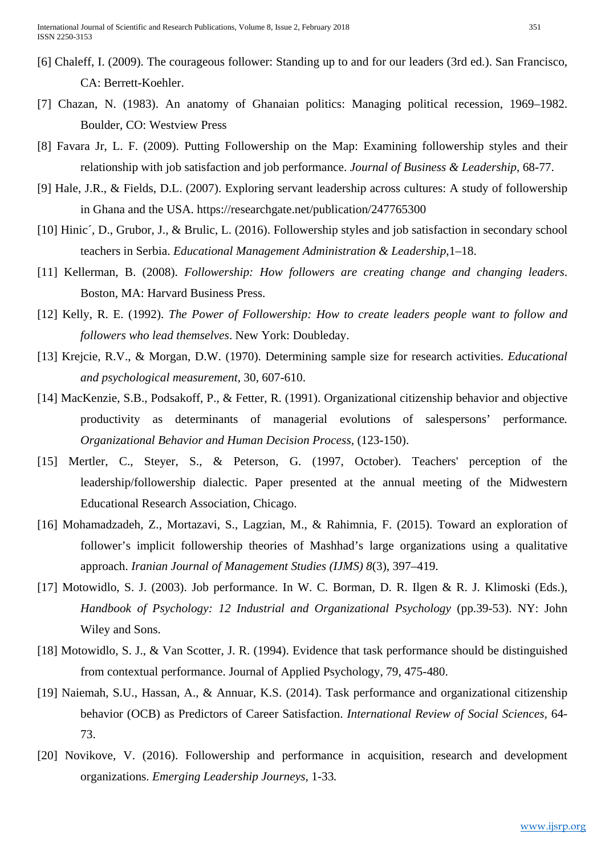- [6] Chaleff, I. (2009). The courageous follower: Standing up to and for our leaders (3rd ed.). San Francisco, CA: Berrett-Koehler.
- [7] Chazan, N. (1983). An anatomy of Ghanaian politics: Managing political recession, 1969–1982. Boulder, CO: Westview Press
- [8] Favara Jr, L. F. (2009). Putting Followership on the Map: Examining followership styles and their relationship with job satisfaction and job performance. *Journal of Business & Leadership*, 68-77.
- [9] Hale, J.R., & Fields, D.L. (2007). Exploring servant leadership across cultures: A study of followership in Ghana and the USA. https://researchgate.net/publication/247765300
- [10] Hinic´, D., Grubor, J., & Brulic, L. (2016). Followership styles and job satisfaction in secondary school teachers in Serbia. *Educational Management Administration & Leadership*,1–18.
- [11] Kellerman, B. (2008). *Followership: How followers are creating change and changing leaders*. Boston, MA: Harvard Business Press.
- [12] Kelly, R. E. (1992). *The Power of Followership: How to create leaders people want to follow and followers who lead themselves*. New York: Doubleday.
- [13] Krejcie, R.V., & Morgan, D.W. (1970). Determining sample size for research activities. *Educational and psychological measurement*, 30, 607-610.
- [14] MacKenzie, S.B., Podsakoff, P., & Fetter, R. (1991). Organizational citizenship behavior and objective productivity as determinants of managerial evolutions of salespersons' performance*. Organizational Behavior and Human Decision Process,* (123-150).
- [15] Mertler, C., Steyer, S., & Peterson, G. (1997, October). Teachers' perception of the leadership/followership dialectic. Paper presented at the annual meeting of the Midwestern Educational Research Association, Chicago.
- [16] Mohamadzadeh, Z., Mortazavi, S., Lagzian, M., & Rahimnia, F. (2015). Toward an exploration of follower's implicit followership theories of Mashhad's large organizations using a qualitative approach. *Iranian Journal of Management Studies (IJMS) 8*(3), 397–419.
- [17] Motowidlo, S. J. (2003). Job performance. In W. C. Borman, D. R. Ilgen & R. J. Klimoski (Eds.), *Handbook of Psychology: 12 Industrial and Organizational Psychology* (pp.39-53). NY: John Wiley and Sons.
- [18] Motowidlo, S. J., & Van Scotter, J. R. (1994). Evidence that task performance should be distinguished from contextual performance. Journal of Applied Psychology, 79, 475-480.
- [19] Naiemah, S.U., Hassan, A., & Annuar, K.S. (2014). Task performance and organizational citizenship behavior (OCB) as Predictors of Career Satisfaction. *International Review of Social Sciences,* 64- 73.
- [20] Novikove, V. (2016). Followership and performance in acquisition, research and development organizations. *Emerging Leadership Journeys,* 1-33*.*